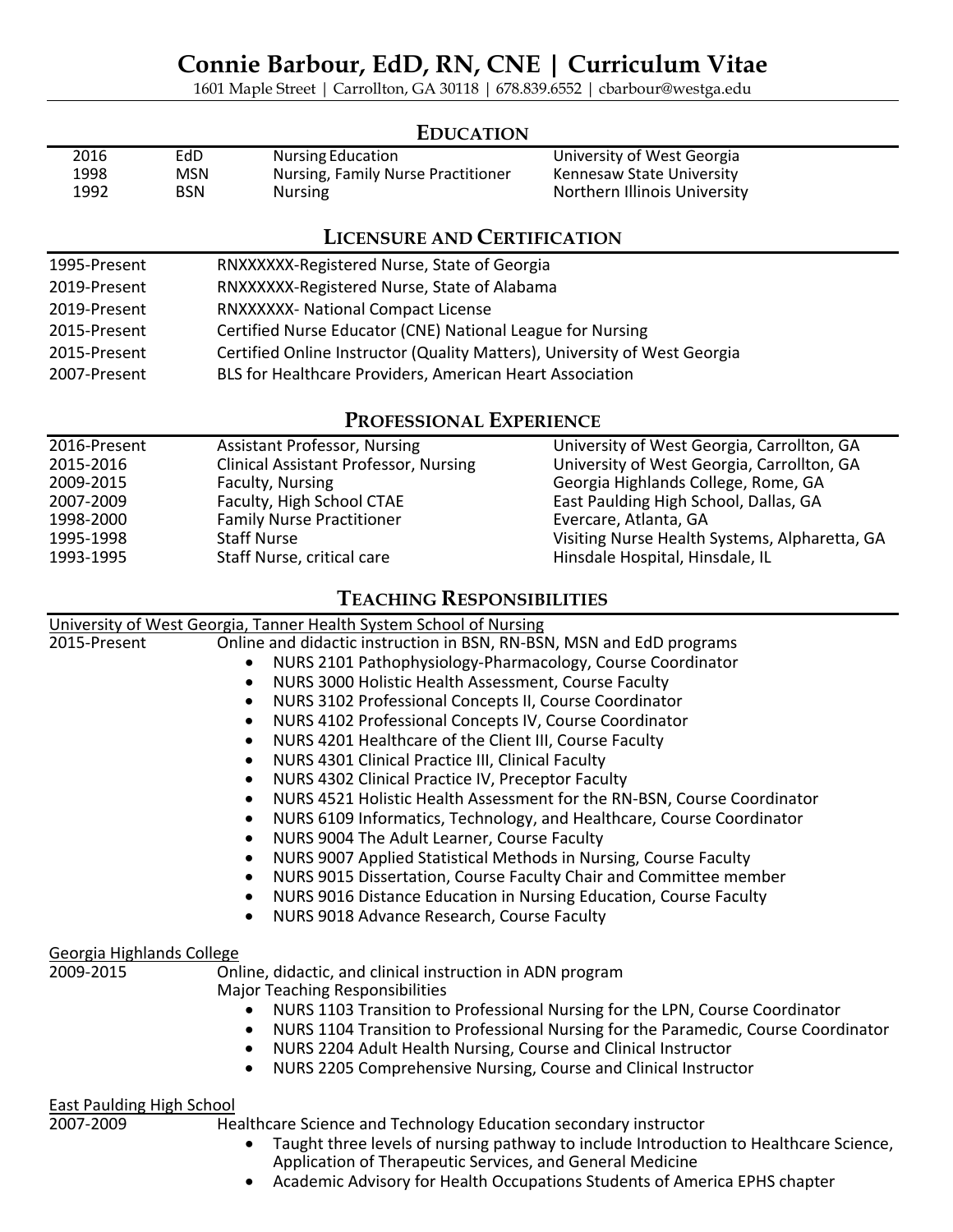1601 Maple Street | Carrollton, GA 30118 | 678.839.6552 | cbarbour@westga.edu

## **EDUCATION**

| 2016 | EdD        | Nursing Education                  | University of West Georgia   |
|------|------------|------------------------------------|------------------------------|
| 1998 | MSN        | Nursing, Family Nurse Practitioner | Kennesaw State University    |
| 1992 | <b>BSN</b> | <b>Nursing</b>                     | Northern Illinois University |

# **LICENSURE AND CERTIFICATION**

| 1995-Present | RNXXXXXX-Registered Nurse, State of Georgia                               |
|--------------|---------------------------------------------------------------------------|
| 2019-Present | RNXXXXXX-Registered Nurse, State of Alabama                               |
| 2019-Present | RNXXXXXX- National Compact License                                        |
| 2015-Present | Certified Nurse Educator (CNE) National League for Nursing                |
| 2015-Present | Certified Online Instructor (Quality Matters), University of West Georgia |
| 2007-Present | BLS for Healthcare Providers, American Heart Association                  |

## **PROFESSIONAL EXPERIENCE**

| 2016-Present | <b>Assistant Professor, Nursing</b>          | University of West Georgia, Carrollton, GA    |
|--------------|----------------------------------------------|-----------------------------------------------|
| 2015-2016    | <b>Clinical Assistant Professor, Nursing</b> | University of West Georgia, Carrollton, GA    |
| 2009-2015    | Faculty, Nursing                             | Georgia Highlands College, Rome, GA           |
| 2007-2009    | Faculty, High School CTAE                    | East Paulding High School, Dallas, GA         |
| 1998-2000    | <b>Family Nurse Practitioner</b>             | Evercare, Atlanta, GA                         |
| 1995-1998    | <b>Staff Nurse</b>                           | Visiting Nurse Health Systems, Alpharetta, GA |
| 1993-1995    | Staff Nurse, critical care                   | Hinsdale Hospital, Hinsdale, IL               |

## **TEACHING RESPONSIBILITIES**

|                                  | University of West Georgia, Tanner Health System School of Nursing                              |
|----------------------------------|-------------------------------------------------------------------------------------------------|
| 2015-Present                     | Online and didactic instruction in BSN, RN-BSN, MSN and EdD programs                            |
|                                  | NURS 2101 Pathophysiology-Pharmacology, Course Coordinator                                      |
|                                  | NURS 3000 Holistic Health Assessment, Course Faculty<br>$\bullet$                               |
|                                  | NURS 3102 Professional Concepts II, Course Coordinator<br>$\bullet$                             |
|                                  | NURS 4102 Professional Concepts IV, Course Coordinator<br>$\bullet$                             |
|                                  | NURS 4201 Healthcare of the Client III, Course Faculty                                          |
|                                  | NURS 4301 Clinical Practice III, Clinical Faculty<br>$\bullet$                                  |
|                                  | NURS 4302 Clinical Practice IV, Preceptor Faculty<br>$\bullet$                                  |
|                                  | NURS 4521 Holistic Health Assessment for the RN-BSN, Course Coordinator<br>$\bullet$            |
|                                  | NURS 6109 Informatics, Technology, and Healthcare, Course Coordinator<br>$\bullet$              |
|                                  | NURS 9004 The Adult Learner, Course Faculty<br>$\bullet$                                        |
|                                  | NURS 9007 Applied Statistical Methods in Nursing, Course Faculty<br>$\bullet$                   |
|                                  | NURS 9015 Dissertation, Course Faculty Chair and Committee member<br>$\bullet$                  |
|                                  | NURS 9016 Distance Education in Nursing Education, Course Faculty<br>$\bullet$                  |
|                                  | NURS 9018 Advance Research, Course Faculty<br>$\bullet$                                         |
| Georgia Highlands College        |                                                                                                 |
| 2009-2015                        | Online, didactic, and clinical instruction in ADN program                                       |
|                                  | <b>Major Teaching Responsibilities</b>                                                          |
|                                  | NURS 1103 Transition to Professional Nursing for the LPN, Course Coordinator                    |
|                                  | NURS 1104 Transition to Professional Nursing for the Paramedic, Course Coordinator<br>$\bullet$ |
|                                  | NURS 2204 Adult Health Nursing, Course and Clinical Instructor<br>$\bullet$                     |
|                                  | NURS 2205 Comprehensive Nursing, Course and Clinical Instructor                                 |
| <b>East Paulding High School</b> |                                                                                                 |
| 2007-2009                        | Healthcare Science and Technology Education secondary instructor                                |
|                                  | Taught three levels of nursing pathway to include Introduction to Healthcare Science,           |
|                                  | Application of Therapeutic Services, and General Medicine                                       |

• Academic Advisory for Health Occupations Students of America EPHS chapter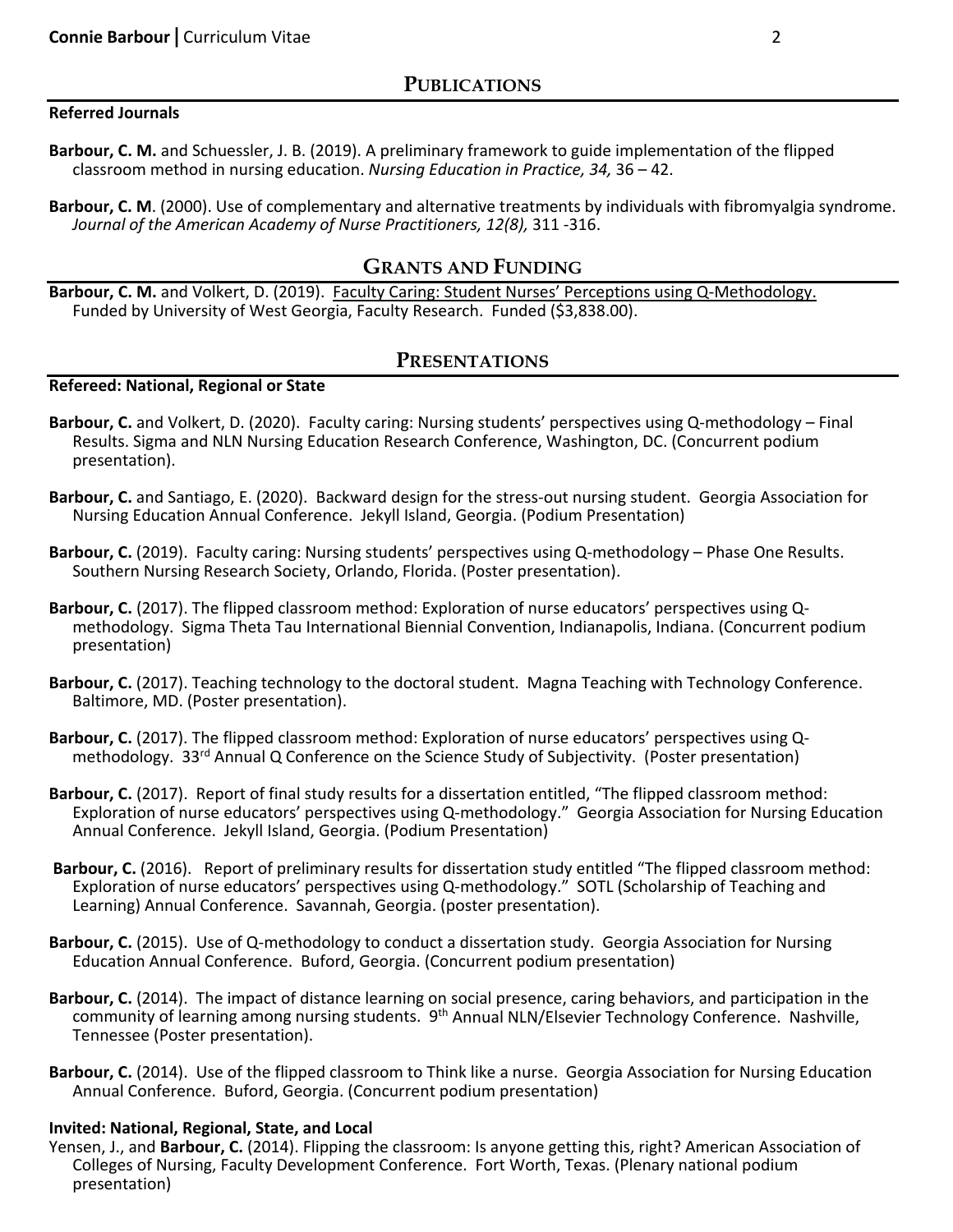### **Referred Journals**

- **Barbour, C. M.** and Schuessler, J. B. (2019). A preliminary framework to guide implementation of the flipped classroom method in nursing education. *Nursing Education in Practice, 34,* 36 – 42.
- **Barbour, C. M**. (2000). Use of complementary and alternative treatments by individuals with fibromyalgia syndrome. *Journal of the American Academy of Nurse Practitioners, 12(8),* 311 -316.

### **GRANTS AND FUNDING**

**Barbour, C. M.** and Volkert, D. (2019). Faculty Caring: Student Nurses' Perceptions using Q-Methodology. Funded by University of West Georgia, Faculty Research. Funded (\$3,838.00).

### **PRESENTATIONS**

#### **Refereed: National, Regional or State**

- **Barbour, C.** and Volkert, D. (2020). Faculty caring: Nursing students' perspectives using Q-methodology Final Results. Sigma and NLN Nursing Education Research Conference, Washington, DC. (Concurrent podium presentation).
- **Barbour, C.** and Santiago, E. (2020). Backward design for the stress-out nursing student. Georgia Association for Nursing Education Annual Conference. Jekyll Island, Georgia. (Podium Presentation)
- **Barbour, C.** (2019). Faculty caring: Nursing students' perspectives using Q-methodology Phase One Results. Southern Nursing Research Society, Orlando, Florida. (Poster presentation).
- **Barbour, C.** (2017). The flipped classroom method: Exploration of nurse educators' perspectives using Qmethodology. Sigma Theta Tau International Biennial Convention, Indianapolis, Indiana. (Concurrent podium presentation)
- **Barbour, C.** (2017). Teaching technology to the doctoral student. Magna Teaching with Technology Conference. Baltimore, MD. (Poster presentation).
- **Barbour, C.** (2017). The flipped classroom method: Exploration of nurse educators' perspectives using Qmethodology. 33<sup>rd</sup> Annual Q Conference on the Science Study of Subjectivity. (Poster presentation)
- **Barbour, C.** (2017). Report of final study results for a dissertation entitled, "The flipped classroom method: Exploration of nurse educators' perspectives using Q-methodology." Georgia Association for Nursing Education Annual Conference. Jekyll Island, Georgia. (Podium Presentation)
- **Barbour, C.** (2016). Report of preliminary results for dissertation study entitled "The flipped classroom method: Exploration of nurse educators' perspectives using Q-methodology." SOTL (Scholarship of Teaching and Learning) Annual Conference. Savannah, Georgia. (poster presentation).
- **Barbour, C.** (2015). Use of Q-methodology to conduct a dissertation study. Georgia Association for Nursing Education Annual Conference. Buford, Georgia. (Concurrent podium presentation)
- **Barbour, C.** (2014). The impact of distance learning on social presence, caring behaviors, and participation in the community of learning among nursing students.9th Annual NLN/Elsevier Technology Conference. Nashville, Tennessee (Poster presentation).
- **Barbour, C.** (2014). Use of the flipped classroom to Think like a nurse. Georgia Association for Nursing Education Annual Conference. Buford, Georgia. (Concurrent podium presentation)

#### **Invited: National, Regional, State, and Local**

Yensen, J., and **Barbour, C.** (2014). Flipping the classroom: Is anyone getting this, right? American Association of Colleges of Nursing, Faculty Development Conference. Fort Worth, Texas. (Plenary national podium presentation)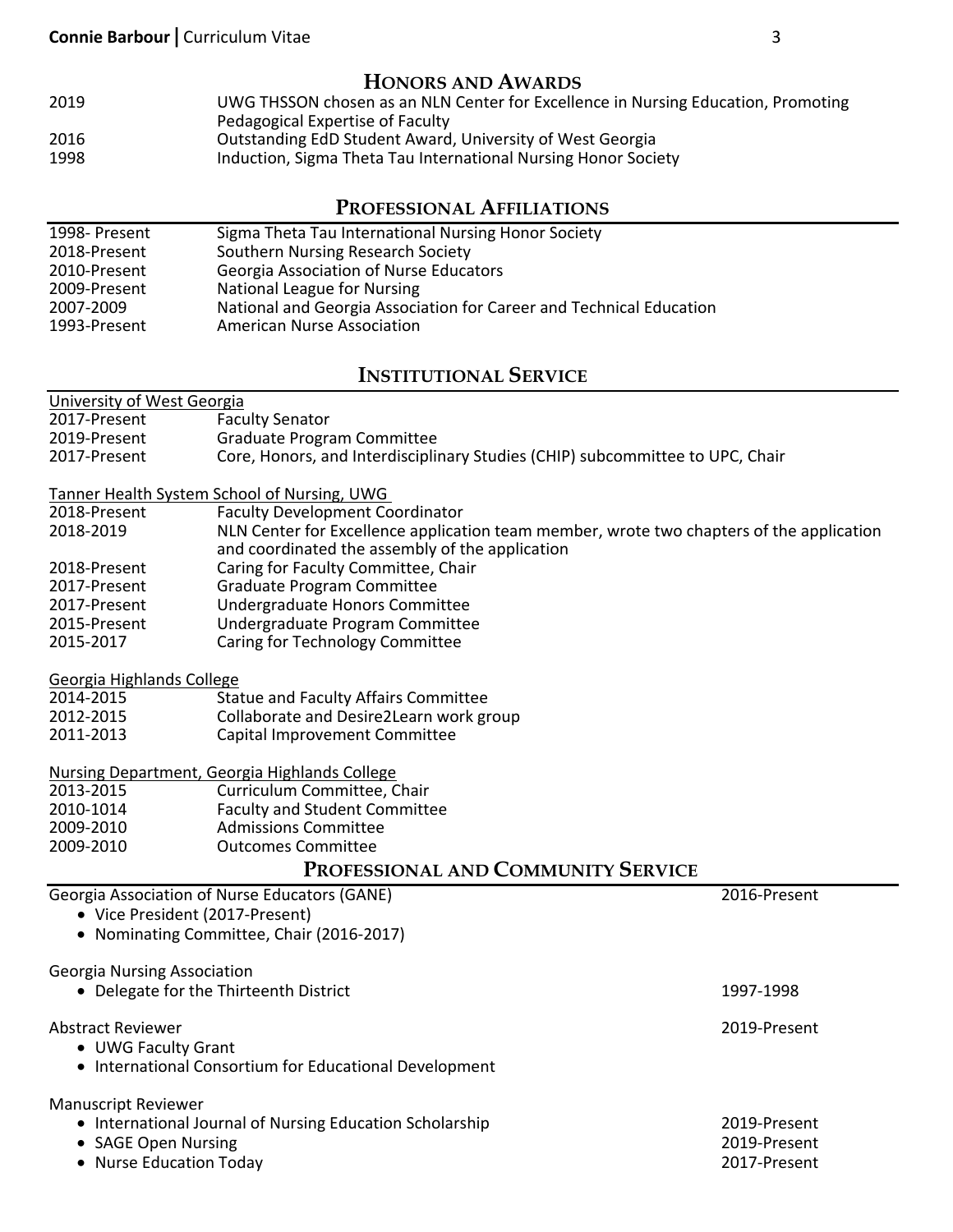## **HONORS AND AWARDS**

 UWG THSSON chosen as an NLN Center for Excellence in Nursing Education, Promoting Pedagogical Expertise of Faculty Outstanding EdD Student Award, University of West Georgia **Induction, Sigma Theta Tau International Nursing Honor Society** 

# **PROFESSIONAL AFFILIATIONS**

| 1998- Present | Sigma Theta Tau International Nursing Honor Society                 |
|---------------|---------------------------------------------------------------------|
| 2018-Present  | Southern Nursing Research Society                                   |
| 2010-Present  | <b>Georgia Association of Nurse Educators</b>                       |
| 2009-Present  | National League for Nursing                                         |
| 2007-2009     | National and Georgia Association for Career and Technical Education |
| 1993-Present  | <b>American Nurse Association</b>                                   |

# **INSTITUTIONAL SERVICE**

| University of West Georgia         |                                                                                          |  |
|------------------------------------|------------------------------------------------------------------------------------------|--|
| 2017-Present                       | <b>Faculty Senator</b>                                                                   |  |
| 2019-Present                       | <b>Graduate Program Committee</b>                                                        |  |
| 2017-Present                       | Core, Honors, and Interdisciplinary Studies (CHIP) subcommittee to UPC, Chair            |  |
|                                    |                                                                                          |  |
|                                    | Tanner Health System School of Nursing, UWG                                              |  |
| 2018-Present                       | <b>Faculty Development Coordinator</b>                                                   |  |
| 2018-2019                          | NLN Center for Excellence application team member, wrote two chapters of the application |  |
|                                    | and coordinated the assembly of the application                                          |  |
| 2018-Present                       | Caring for Faculty Committee, Chair                                                      |  |
| 2017-Present                       | Graduate Program Committee                                                               |  |
| 2017-Present                       | Undergraduate Honors Committee                                                           |  |
| 2015-Present                       | Undergraduate Program Committee                                                          |  |
| 2015-2017                          | Caring for Technology Committee                                                          |  |
|                                    |                                                                                          |  |
| Georgia Highlands College          |                                                                                          |  |
| 2014-2015                          | <b>Statue and Faculty Affairs Committee</b>                                              |  |
| 2012-2015                          | Collaborate and Desire2Learn work group                                                  |  |
| 2011-2013                          | Capital Improvement Committee                                                            |  |
|                                    |                                                                                          |  |
|                                    | Nursing Department, Georgia Highlands College                                            |  |
| 2013-2015                          | Curriculum Committee, Chair                                                              |  |
| 2010-1014                          | <b>Faculty and Student Committee</b>                                                     |  |
| 2009-2010                          | <b>Admissions Committee</b>                                                              |  |
| 2009-2010                          | <b>Outcomes Committee</b>                                                                |  |
| Professional and Community Service |                                                                                          |  |

| <b>Georgia Association of Nurse Educators (GANE)</b><br>• Vice President (2017-Present)<br>• Nominating Committee, Chair (2016-2017)     | 2016-Present                                 |
|------------------------------------------------------------------------------------------------------------------------------------------|----------------------------------------------|
| <b>Georgia Nursing Association</b><br>• Delegate for the Thirteenth District                                                             | 1997-1998                                    |
| Abstract Reviewer<br>• UWG Faculty Grant<br>• International Consortium for Educational Development                                       | 2019-Present                                 |
| <b>Manuscript Reviewer</b><br>• International Journal of Nursing Education Scholarship<br>• SAGE Open Nursing<br>• Nurse Education Today | 2019-Present<br>2019-Present<br>2017-Present |